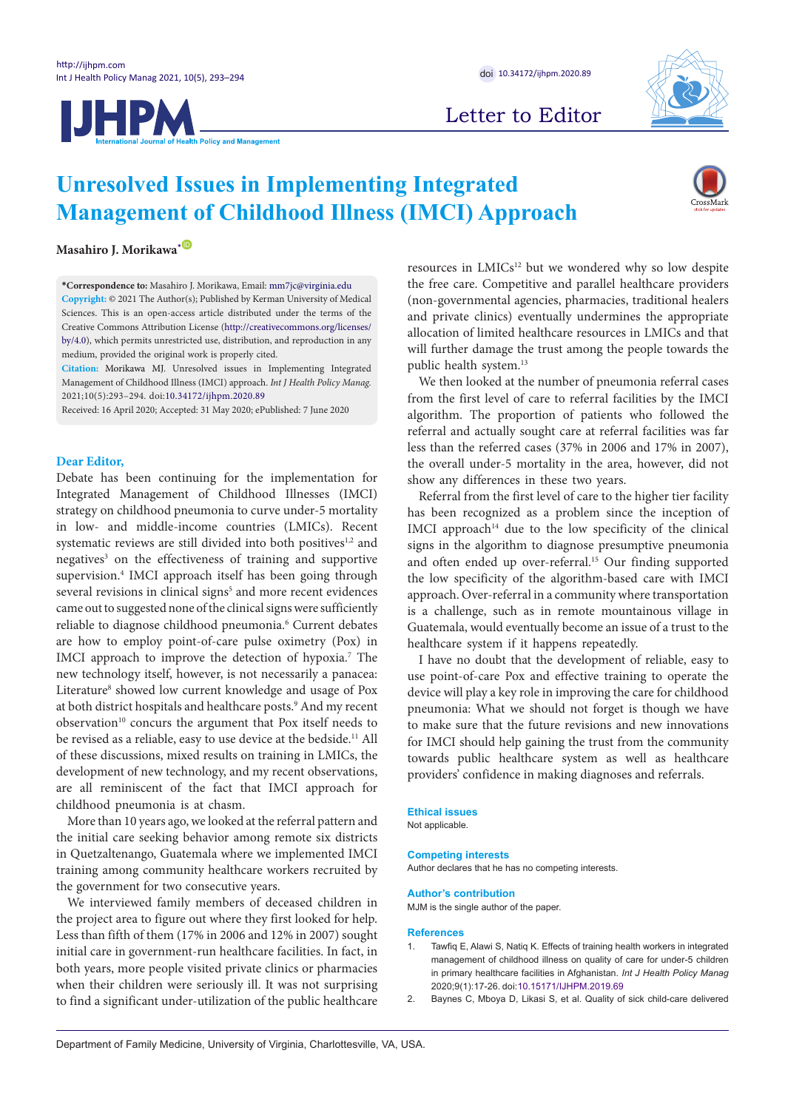





# Letter to Editor

# **Unresolved Issues in Implementing Integrated Management of Childhood Illness (IMCI) Approach**

**Masahiro I. Morikawa**<sup>[\\*](#page-0-0) **D**</sup>

<span id="page-0-0"></span>**\*Correspondence to:** Masahiro J. Morikawa, Email: mm7jc@virginia.edu **Copyright:** © 2021 The Author(s); Published by Kerman University of Medical Sciences. This is an open-access article distributed under the terms of the Creative Commons Attribution License (http://creativecommons.org/licenses/ by/4.0), which permits unrestricted use, distribution, and reproduction in any medium, provided the original work is properly cited.

**Citation:** Morikawa MJ. Unresolved issues in Implementing Integrated Management of Childhood Illness (IMCI) approach. *Int J Health Policy Manag.*  2021;10(5):293–294. doi[:10.34172/ijhpm.2020.89](https://doi.org/10.34172/ijhpm.2020.89 )

Received: 16 April 2020; Accepted: 31 May 2020; ePublished: 7 June 2020

## **Dear Editor,**

Debate has been continuing for the implementation for Integrated Management of Childhood Illnesses (IMCI) strategy on childhood pneumonia to curve under-5 mortality in low- and middle-income countries (LMICs). Recent systematic reviews are still divided into both positives<sup>1,2</sup> and negatives<sup>3</sup> on the effectiveness of training and supportive supervision.<sup>4</sup> IMCI approach itself has been going through several revisions in clinical signs<sup>5</sup> and more recent evidences came out to suggested none of the clinical signs were sufficiently reliable to diagnose childhood pneumonia.<sup>6</sup> Current debates are how to employ point-of-care pulse oximetry (Pox) in IMCI approach to improve the detection of hypoxia.<sup>7</sup> The new technology itself, however, is not necessarily a panacea: Literature<sup>8</sup> showed low current knowledge and usage of Pox at both district hospitals and healthcare posts.<sup>9</sup> And my recent observation<sup>10</sup> concurs the argument that Pox itself needs to be revised as a reliable, easy to use device at the bedside.<sup>11</sup> All of these discussions, mixed results on training in LMICs, the development of new technology, and my recent observations, are all reminiscent of the fact that IMCI approach for childhood pneumonia is at chasm.

More than 10 years ago, we looked at the referral pattern and the initial care seeking behavior among remote six districts in Quetzaltenango, Guatemala where we implemented IMCI training among community healthcare workers recruited by the government for two consecutive years.

We interviewed family members of deceased children in the project area to figure out where they first looked for help. Less than fifth of them (17% in 2006 and 12% in 2007) sought initial care in government-run healthcare facilities. In fact, in both years, more people visited private clinics or pharmacies when their children were seriously ill. It was not surprising to find a significant under-utilization of the public healthcare resources in LMICs<sup>12</sup> but we wondered why so low despite the free care. Competitive and parallel healthcare providers (non-governmental agencies, pharmacies, traditional healers and private clinics) eventually undermines the appropriate allocation of limited healthcare resources in LMICs and that will further damage the trust among the people towards the public health system.13

We then looked at the number of pneumonia referral cases from the first level of care to referral facilities by the IMCI algorithm. The proportion of patients who followed the referral and actually sought care at referral facilities was far less than the referred cases (37% in 2006 and 17% in 2007), the overall under-5 mortality in the area, however, did not show any differences in these two years.

Referral from the first level of care to the higher tier facility has been recognized as a problem since the inception of IMCI approach<sup>14</sup> due to the low specificity of the clinical signs in the algorithm to diagnose presumptive pneumonia and often ended up over-referral.<sup>15</sup> Our finding supported the low specificity of the algorithm-based care with IMCI approach. Over-referral in a community where transportation is a challenge, such as in remote mountainous village in Guatemala, would eventually become an issue of a trust to the healthcare system if it happens repeatedly.

I have no doubt that the development of reliable, easy to use point-of-care Pox and effective training to operate the device will play a key role in improving the care for childhood pneumonia: What we should not forget is though we have to make sure that the future revisions and new innovations for IMCI should help gaining the trust from the community towards public healthcare system as well as healthcare providers' confidence in making diagnoses and referrals.

#### **Ethical issues**

Not applicable.

## **Competing interests**

Author declares that he has no competing interests.

#### **Author's contribution**

MJM is the single author of the paper.

#### **References**

- Tawfiq E, Alawi S, Natiq K. Effects of training health workers in integrated management of childhood illness on quality of care for under-5 children in primary healthcare facilities in Afghanistan. *Int J Health Policy Manag* 2020;9(1):17-26. doi:[10.15171/IJHPM.2019.69](https://dx.doi.org/10.15171/ijhpm.2019.69)
- 2. Baynes C, Mboya D, Likasi S, et al. Quality of sick child-care delivered